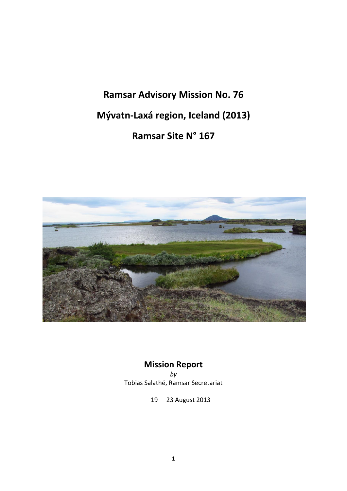**Ramsar Advisory Mission No. 76 Mývatn-Laxá region, Iceland (2013) Ramsar Site N° 167**



# **Mission Report**

*by* Tobias Salathé, Ramsar Secretariat

19 – 23 August 2013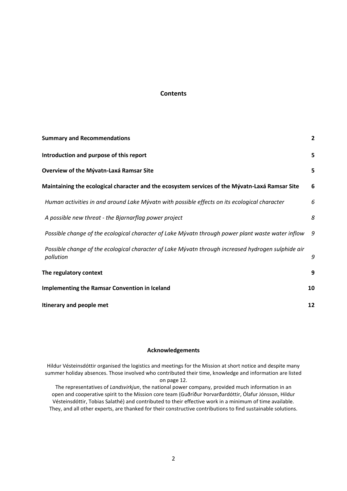## **Contents**

| <b>Summary and Recommendations</b>                                                                              | $\overline{2}$ |
|-----------------------------------------------------------------------------------------------------------------|----------------|
| Introduction and purpose of this report                                                                         | 5              |
| <b>Overview of the Mývatn-Laxá Ramsar Site</b>                                                                  | 5              |
| Maintaining the ecological character and the ecosystem services of the Mývatn-Laxá Ramsar Site                  | 6              |
| Human activities in and around Lake Mývatn with possible effects on its ecological character                    | 6              |
| A possible new threat - the Bjarnarflag power project                                                           | 8              |
| Possible change of the ecological character of Lake Mývatn through power plant waste water inflow               | 9              |
| Possible change of the ecological character of Lake Mývatn through increased hydrogen sulphide air<br>pollution | 9              |
| The regulatory context                                                                                          | 9              |
| <b>Implementing the Ramsar Convention in Iceland</b>                                                            | 10             |
| Itinerary and people met                                                                                        | 12             |

## **Acknowledgements**

Hildur Vésteinsdóttir organised the logistics and meetings for the Mission at short notice and despite many summer holiday absences. Those involved who contributed their time, knowledge and information are listed on page 12.

The representatives of *Landsvirkjun*, the national power company, provided much information in an open and cooperative spirit to the Mission core team (Guðríður Þorvarðardóttir, Ólafur Jónsson, Hildur Vésteinsdóttir, Tobias Salathé) and contributed to their effective work in a minimum of time available. They, and all other experts, are thanked for their constructive contributions to find sustainable solutions.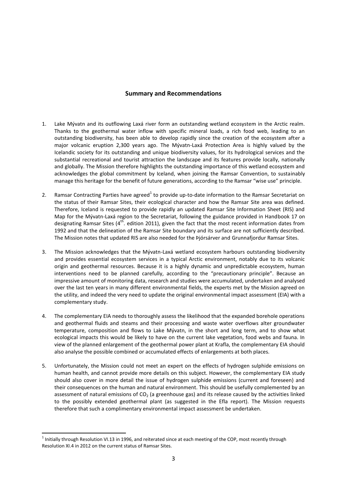#### **Summary and Recommendations**

- 1. Lake Mývatn and its outflowing Laxá river form an outstanding wetland ecosystem in the Arctic realm. Thanks to the geothermal water inflow with specific mineral loads, a rich food web, leading to an outstanding biodiversity, has been able to develop rapidly since the creation of the ecosystem after a major volcanic eruption 2,300 years ago. The Mývatn-Laxá Protection Area is highly valued by the Icelandic society for its outstanding and unique biodiversity values, for its hydrological services and the substantial recreational and tourist attraction the landscape and its features provide locally, nationally and globally. The Mission therefore highlights the outstanding importance of this wetland ecosystem and acknowledges the global commitment by Iceland, when joining the Ramsar Convention, to sustainably manage this heritage for the benefit of future generations, according to the Ramsar "wise use" principle.
- 2. Ramsar Contracting Parties have agreed<sup>1</sup> to provide up-to-date information to the Ramsar Secretariat on the status of their Ramsar Sites, their ecological character and how the Ramsar Site area was defined. Therefore, Iceland is requested to provide rapidly an updated Ramsar Site Information Sheet (RIS) and Map for the Mývatn-Laxá region to the Secretariat, following the guidance provided in Handbook 17 on designating Ramsar Sites ( $4<sup>th</sup>$ . edition 2011), given the fact that the most recent information dates from 1992 and that the delineation of the Ramsar Site boundary and its surface are not sufficiently described. The Mission notes that updated RIS are also needed for the Þjórsárver and Grunnafjordur Ramsar Sites.
- 3. The Mission acknowledges that the Mývatn-Laxá wetland ecosystem harbours outstanding biodiversity and provides essential ecosystem services in a typical Arctic environment, notably due to its volcanic origin and geothermal resources. Because it is a highly dynamic and unpredictable ecosystem, human interventions need to be planned carefully, according to the "precautionary principle". Because an impressive amount of monitoring data, research and studies were accumulated, undertaken and analysed over the last ten years in many different environmental fields, the experts met by the Mission agreed on the utility, and indeed the very need to update the original environmental impact assessment (EIA) with a complementary study.
- 4. The complementary EIA needs to thoroughly assess the likelihood that the expanded borehole operations and geothermal fluids and steams and their processing and waste water overflows alter groundwater temperature, composition and flows to Lake Mývatn, in the short and long term, and to show what ecological impacts this would be likely to have on the current lake vegetation, food webs and fauna. In view of the planned enlargement of the geothermal power plant at Krafla, the complementary EIA should also analyse the possible combined or accumulated effects of enlargements at both places.
- 5. Unfortunately, the Mission could not meet an expert on the effects of hydrogen sulphide emissions on human health, and cannot provide more details on this subject. However, the complementary EIA study should also cover in more detail the issue of hydrogen sulphide emissions (current and foreseen) and their consequences on the human and natural environment. This should be usefully complemented by an assessment of natural emissions of  $CO<sub>2</sub>$  (a greenhouse gas) and its release caused by the activities linked to the possibly extended geothermal plant (as suggested in the Efla report). The Mission requests therefore that such a complimentary environmental impact assessment be undertaken.

**.** 

 $1$ Initially through Resolution VI.13 in 1996, and reiterated since at each meeting of the COP, most recently through Resolution XI.4 in 2012 on the current status of Ramsar Sites.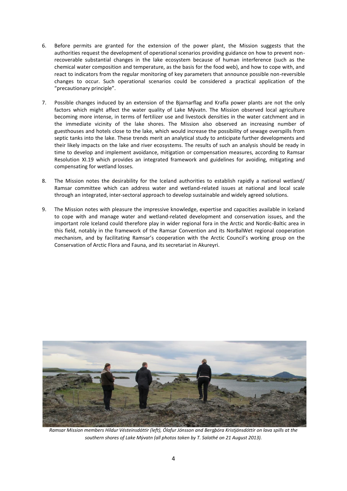- 6. Before permits are granted for the extension of the power plant, the Mission suggests that the authorities request the development of operational scenarios providing guidance on how to prevent nonrecoverable substantial changes in the lake ecosystem because of human interference (such as the chemical water composition and temperature, as the basis for the food web), and how to cope with, and react to indicators from the regular monitoring of key parameters that announce possible non-reversible changes to occur. Such operational scenarios could be considered a practical application of the "precautionary principle".
- 7. Possible changes induced by an extension of the Bjarnarflag and Krafla power plants are not the only factors which might affect the water quality of Lake Mývatn. The Mission observed local agriculture becoming more intense, in terms of fertilizer use and livestock densities in the water catchment and in the immediate vicinity of the lake shores. The Mission also observed an increasing number of guesthouses and hotels close to the lake, which would increase the possibility of sewage overspills from septic tanks into the lake. These trends merit an analytical study to anticipate further developments and their likely impacts on the lake and river ecosystems. The results of such an analysis should be ready in time to develop and implement avoidance, mitigation or compensation measures, according to Ramsar Resolution XI.19 which provides an integrated framework and guidelines for avoiding, mitigating and compensating for wetland losses.
- 8. The Mission notes the desirability for the Iceland authorities to establish rapidly a national wetland/ Ramsar committee which can address water and wetland-related issues at national and local scale through an integrated, inter-sectoral approach to develop sustainable and widely agreed solutions.
- 9. The Mission notes with pleasure the impressive knowledge, expertise and capacities available in Iceland to cope with and manage water and wetland-related development and conservation issues, and the important role Iceland could therefore play in wider regional fora in the Arctic and Nordic-Baltic area in this field, notably in the framework of the Ramsar Convention and its NorBalWet regional cooperation mechanism, and by facilitating Ramsar's cooperation with the Arctic Council's working group on the Conservation of Arctic Flora and Fauna, and its secretariat in Akureyri.



*Ramsar Mission members Hildur Vésteinsdóttir (left), Ólafur Jónsson and Bergþóra Kristjánsdóttir on lava spills at the southern shores of Lake Mývatn (all photos taken by T. Salathé on 21 August 2013).*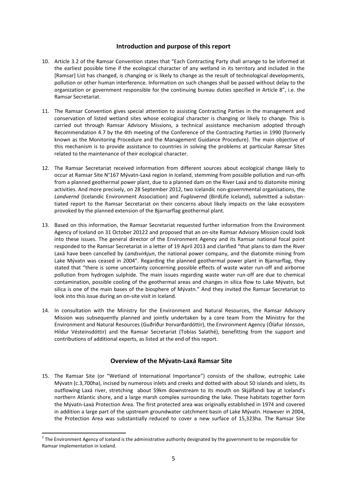### **Introduction and purpose of this report**

- 10. Article 3.2 of the Ramsar Convention states that "Each Contracting Party shall arrange to be informed at the earliest possible time if the ecological character of any wetland in its territory and included in the [Ramsar] List has changed, is changing or is likely to change as the result of technological developments, pollution or other human interference. Information on such changes shall be passed without delay to the organization or government responsible for the continuing bureau duties specified in Article 8", i.e. the Ramsar Secretariat.
- 11. The Ramsar Convention gives special attention to assisting Contracting Parties in the management and conservation of listed wetland sites whose ecological character is changing or likely to change. This is carried out through Ramsar Advisory Missions, a technical assistance mechanism adopted through Recommendation 4.7 by the 4th meeting of the Conference of the Contracting Parties in 1990 (formerly known as the Monitoring Procedure and the Management Guidance Procedure). The main objective of this mechanism is to provide assistance to countries in solving the problems at particular Ramsar Sites related to the maintenance of their ecological character.
- 12. The Ramsar Secretariat received information from different sources about ecological change likely to occur at Ramsar Site N°167 Mývatn-Laxá region in Iceland, stemming from possible pollution and run-offs from a planned geothermal power plant, due to a planned dam on the River Laxá and to diatomite mining activities. And more precisely, on 28 September 2012, two Icelandic non-governmental organisations, the *Landvernd* (Icelandic Environment Association) and *Fuglavernd* (BirdLife Iceland), submitted a substantiated report to the Ramsar Secretariat on their concerns about likely impacts on the lake ecosystem provoked by the planned extension of the Bjarnarflag geothermal plant.
- 13. Based on this information, the Ramsar Secretariat requested further information from the Environment Agency of Iceland on 31 October 20122 and proposed that an on-site Ramsar Advisory Mission could look into these issues. The general director of the Environment Agency and its Ramsar national focal point responded to the Ramsar Secretariat in a letter of 19 April 2013 and clarified "that plans to dam the River Laxá have been cancelled by *Landsvirkjun*, the national power company, and the diatomite mining from Lake Mývatn was ceased in 2004". Regarding the planned geothermal power plant in Bjarnarflag, they stated that "there is some uncertainty concerning possible effects of waste water run-off and airborne pollution from hydrogen sulphide. The main issues regarding waste water run-off are due to chemical contamination, possible cooling of the geothermal areas and changes in silica flow to Lake Mývatn, but silica is one of the main bases of the biosphere of Mývatn." And they invited the Ramsar Secretariat to look into this issue during an on-site visit in Iceland.
- 14. In consultation with the Ministry for the Environment and Natural Resources, the Ramsar Advisory Mission was subsequently planned and jointly undertaken by a core team from the Ministry for the Environment and Natural Resources (Guðríður Þorvarðardóttir), the Environment Agency (Ólafur Jónsson, Hildur Vésteinsdóttir) and the Ramsar Secretariat (Tobias Salathé), benefitting from the support and contributions of additional experts, as listed at the end of this report.

#### **Overview of the Mývatn-Laxá Ramsar Site**

15. The Ramsar Site (or "Wetland of International Importance") consists of the shallow, eutrophic Lake Mývatn (c.3,700ha), incised by numerous inlets and creeks and dotted with about 50 islands and islets, its outflowing Laxá river, stretching about 59km downstream to its mouth on Skjálfandi bay at Iceland's northern Atlantic shore, and a large marsh complex surrounding the lake. These habitats together form the Mývatn-Laxá Protection Area. The first protected area was originally established in 1974 and covered in addition a large part of the upstream groundwater catchment basin of Lake Mývatn. However in 2004, the Protection Area was substantially reduced to cover a new surface of 15,323ha. The Ramsar Site

**.** 

<sup>&</sup>lt;sup>2</sup> The Environment Agency of Iceland is the administrative authority designated by the government to be responsible for Ramsar implementation in Iceland.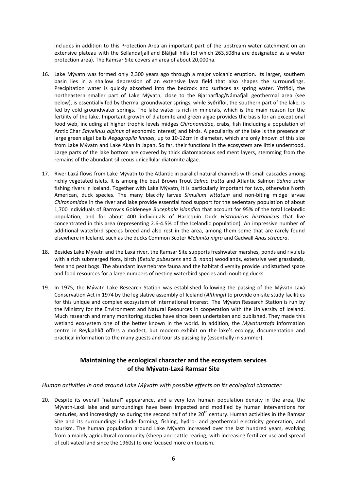includes in addition to this Protection Area an important part of the upstream water catchment on an extensive plateau with the Sellandafjall and Bláfjall hills (of which 263,508ha are designated as a water protection area). The Ramsar Site covers an area of about 20,000ha.

- 16. Lake Mývatn was formed only 2,300 years ago through a major volcanic eruption. Its larger, southern basin lies in a shallow depression of an extensive lava field that also shapes the surroundings. Precipitation water is quickly absorbed into the bedrock and surfaces as spring water. Ytriflói, the northeastern smaller part of Lake Mývatn, close to the Bjarnarflag/Námafjall geothermal area (see below), is essentially fed by thermal groundwater springs, while Syðriflói, the southern part of the lake, is fed by cold groundwater springs. The lake water is rich in minerals, which is the main reason for the fertility of the lake. Important growth of diatomite and green algae provides the basis for an exceptional food web, including at higher trophic levels midges *Chironomidae*, crabs, fish (including a population of Arctic Char *Salvelinus alpinus* of economic interest) and birds. A peculiarity of the lake is the presence of large green algal balls *Aegagropila linnaei*, up to 10-12cm in diameter, which are only known of this size from Lake Mývatn and Lake Akan in Japan. So far, their functions in the ecosystem are little understood. Large parts of the lake bottom are covered by thick diatomaceous sediment layers, stemming from the remains of the abundant siliceous unicellular diatomite algae.
- 17. River Laxá flows from Lake Mývatn to the Atlantic in parallel natural channels with small cascades among richly vegetated islets. It is among the best Brown Trout *Salmo trutta* and Atlantic Salmon *Salmo salar* fishing rivers in Iceland. Together with Lake Mývatn, it is particularly important for two, otherwise North American, duck species. The many blackfly larvae *Simulium vittatum* and non-biting midge larvae *Chironomidae* in the river and lake provide essential food support for the sedentary population of about 1,700 individuals of Barrow's Goldeneye *Bucephala islandica* that account for 95% of the total Icelandic population, and for about 400 individuals of Harlequin Duck *Histrionicus histrionicus* that live concentrated in this area (representing 2.6-4.5% of the Icelandic population). An impressive number of additional waterbird species breed and also rest in the area, among them some that are rarely found elsewhere in Iceland, such as the ducks Common Scoter *Melanita nigra* and Gadwall *Anas strepera*.
- 18. Besides Lake Mývatn and the Laxá river, the Ramsar Site supports freshwater marshes, ponds and rivulets with a rich submerged flora, birch (*Betula pubescens* and *B. nana*) woodlands, extensive wet grasslands, fens and peat bogs. The abundant invertebrate fauna and the habitat diversity provide undisturbed space and food resources for a large numbers of nesting waterbird species and moulting ducks.
- 19. In 1975, the Mývatn Lake Research Station was established following the passing of the Mývatn-Laxá Conservation Act in 1974 by the legislative assembly of Iceland (*Althingi*) to provide on-site study facilities for this unique and complex ecosystem of international interest. The Mývatn Research Station is run by the Ministry for the Environment and Natural Resources in cooperation with the University of Iceland. Much research and many monitoring studies have since been undertaken and published. They made this wetland ecosystem one of the better known in the world. In addition, the *Mývatnsstofa* information centre in Reykjahlíð offers a modest, but modern exhibit on the lake's ecology, documentation and practical information to the many guests and tourists passing by (essentially in summer).

# **Maintaining the ecological character and the ecosystem services of the Mývatn-Laxá Ramsar Site**

#### *Human activities in and around Lake Mývatn with possible effects on its ecological character*

20. Despite its overall "natural" appearance, and a very low human population density in the area, the Mývatn-Laxá lake and surroundings have been impacted and modified by human interventions for centuries, and increasingly so during the second half of the  $20<sup>th</sup>$  century. Human activities in the Ramsar Site and its surroundings include farming, fishing, hydro- and geothermal electricity generation, and tourism. The human population around Lake Mývatn increased over the last hundred years, evolving from a mainly agricultural community (sheep and cattle rearing, with increasing fertilizer use and spread of cultivated land since the 1960s) to one focused more on tourism.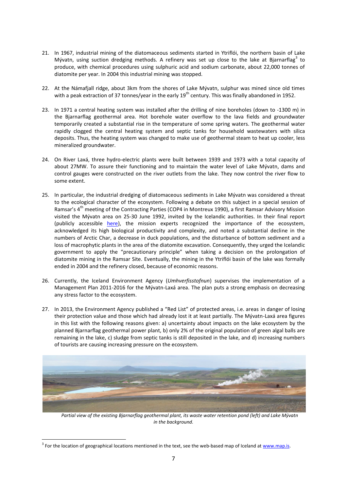- 21. In 1967, industrial mining of the diatomaceous sediments started in Ytriflói, the northern basin of Lake Mývatn, using suction dredging methods. A refinery was set up close to the lake at Bjarnarflag<sup>3</sup> to produce, with chemical procedures using sulphuric acid and sodium carbonate, about 22,000 tonnes of diatomite per year. In 2004 this industrial mining was stopped.
- 22. At the Námafjall ridge, about 3km from the shores of Lake Mývatn, sulphur was mined since old times with a peak extraction of 37 tonnes/year in the early  $19^{th}$  century. This was finally abandoned in 1952.
- 23. In 1971 a central heating system was installed after the drilling of nine boreholes (down to -1300 m) in the Bjarnarflag geothermal area. Hot borehole water overflow to the lava fields and groundwater temporarily created a substantial rise in the temperature of some spring waters. The geothermal water rapidly clogged the central heating system and septic tanks for household wastewaters with silica deposits. Thus, the heating system was changed to make use of geothermal steam to heat up cooler, less mineralized groundwater.
- 24. On River Laxá, three hydro-electric plants were built between 1939 and 1973 with a total capacity of about 27MW. To assure their functioning and to maintain the water level of Lake Mývatn, dams and control gauges were constructed on the river outlets from the lake. They now control the river flow to some extent.
- 25. In particular, the industrial dredging of diatomaceous sediments in Lake Mývatn was considered a threat to the ecological character of the ecosystem. Following a debate on this subject in a special session of Ramsar's 4<sup>th</sup> meeting of the Contracting Parties (COP4 in Montreux 1990), a first Ramsar Advisory Mission visited the Mývatn area on 25-30 June 1992, invited by the Icelandic authorities. In their final report (publicly accessible [here\)](http://www.ramsar.org/cda/en/ramsar-documents-rams-ramsar-advisory-missions-15901/main/ramsar/1-31-112%5E15901_4000_0__), the mission experts recognized the importance of the ecosystem, acknowledged its high biological productivity and complexity, and noted a substantial decline in the numbers of Arctic Char, a decrease in duck populations, and the disturbance of bottom sediment and a loss of macrophytic plants in the area of the diatomite excavation. Consequently, they urged the Icelandic government to apply the "precautionary principle" when taking a decision on the prolongation of diatomite mining in the Ramsar Site. Eventually, the mining in the Ytriflói basin of the lake was formally ended in 2004 and the refinery closed, because of economic reasons.
- 26. Currently, the Iceland Environment Agency (*Umhverfisstofnun*) supervises the implementation of a Management Plan 2011-2016 for the Mývatn-Laxá area. The plan puts a strong emphasis on decreasing any stress factor to the ecosystem.
- 27. In 2013, the Environment Agency published a "Red List" of protected areas, i.e. areas in danger of losing their protection value and those which had already lost it at least partially. The Mývatn-Laxá area figures in this list with the following reasons given: a) uncertainty about impacts on the lake ecosystem by the planned Bjarnarflag geothermal power plant, b) only 2% of the original population of green algal balls are remaining in the lake, c) sludge from septic tanks is still deposited in the lake, and d) increasing numbers of tourists are causing increasing pressure on the ecosystem.



*Partial view of the existing Bjarnarflag geothermal plant, its waste water retention pond (left) and Lake Mývatn in the background.*

**.** 

<sup>&</sup>lt;sup>3</sup> For the location of geographical locations mentioned in the text, see the web-based map of Iceland at [www.map.is.](http://www.map.is/)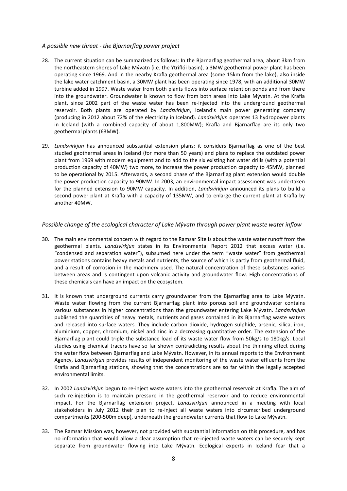#### *A possible new threat - the Bjarnarflag power project*

- 28. The current situation can be summarized as follows: In the Bjarnarflag geothermal area, about 3km from the northeastern shores of Lake Mývatn (i.e. the Ytriflói basin), a 3MW geothermal power plant has been operating since 1969. And in the nearby Krafla geothermal area (some 15km from the lake), also inside the lake water catchment basin, a 30MW plant has been operating since 1978, with an additional 30MW turbine added in 1997. Waste water from both plants flows into surface retention ponds and from there into the groundwater. Groundwater is known to flow from both areas into Lake Mývatn. At the Krafla plant, since 2002 part of the waste water has been re-injected into the underground geothermal reservoir. Both plants are operated by *Landsvirkjun*, Iceland's main power generating company (producing in 2012 about 72% of the electricity in Iceland). *Landsvirkjun* operates 13 hydropower plants in Iceland (with a combined capacity of about 1,800MW); Krafla and Bjarnarflag are its only two geothermal plants (63MW).
- 29. *Landsvirkjun* has announced substantial extension plans: it considers Bjarnarflag as one of the best studied geothermal areas in Iceland (for more than 50 years) and plans to replace the outdated power plant from 1969 with modern equipment and to add to the six existing hot water drills (with a potential production capacity of 40MW) two more, to increase the power production capacity to 45MW, planned to be operational by 2015. Afterwards, a second phase of the Bjarnarflag plant extension would double the power production capacity to 90MW. In 2003, an environmental impact assessment was undertaken for the planned extension to 90MW capacity. In addition, *Landsvirkjun* announced its plans to build a second power plant at Krafla with a capacity of 135MW, and to enlarge the current plant at Krafla by another 40MW.

#### *Possible change of the ecological character of Lake Mývatn through power plant waste water inflow*

- 30. The main environmental concern with regard to the Ramsar Site is about the waste water runoff from the geothermal plants. *Landsvirkjun* states in its Environmental Report 2012 that excess water (i.e. "condensed and separation water"), subsumed here under the term "waste water" from geothermal power stations contains heavy metals and nutrients, the source of which is partly from geothermal fluid, and a result of corrosion in the machinery used. The natural concentration of these substances varies between areas and is contingent upon volcanic activity and groundwater flow. High concentrations of these chemicals can have an impact on the ecosystem.
- 31. It is known that underground currents carry groundwater from the Bjarnarflag area to Lake Mývatn. Waste water flowing from the current Bjarnarflag plant into porous soil and groundwater contains various substances in higher concentrations than the groundwater entering Lake Mývatn. *Landsvirkjun* published the quantities of heavy metals, nutrients and gases contained in its Bjarnarflag waste waters and released into surface waters. They include carbon dioxide, hydrogen sulphide, arsenic, silica, iron, aluminium, copper, chromium, nickel and zinc in a decreasing quantitative order. The extension of the Bjarnarflag plant could triple the substance load of its waste water flow from 50kg/s to 180kg/s. Local studies using chemical tracers have so far shown contradicting results about the thinning effect during the water flow between Bjarnarflag and Lake Mývatn. However, in its annual reports to the Environment Agency, *Landsvirkjun* provides results of independent monitoring of the waste water effluents from the Krafla and Bjarnarflag stations, showing that the concentrations are so far within the legally accepted environmental limits.
- 32. In 2002 *Landsvirkjun* begun to re-inject waste waters into the geothermal reservoir at Krafla. The aim of such re-injection is to maintain pressure in the geothermal reservoir and to reduce environmental impact. For the Bjarnarflag extension project, *Landsvirkjun* announced in a meeting with local stakeholders in July 2012 their plan to re-inject all waste waters into circumscribed underground compartments (200-500m deep), underneath the groundwater currents that flow to Lake Mývatn.
- 33. The Ramsar Mission was, however, not provided with substantial information on this procedure, and has no information that would allow a clear assumption that re-injected waste waters can be securely kept separate from groundwater flowing into Lake Mývatn. Ecological experts in Iceland fear that a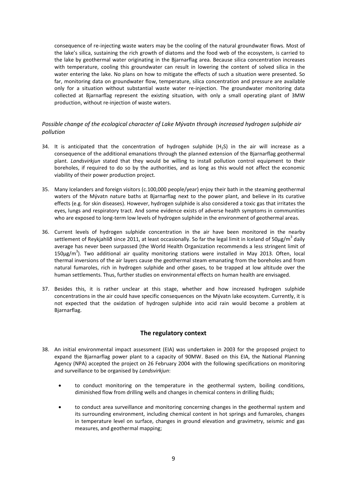consequence of re-injecting waste waters may be the cooling of the natural groundwater flows. Most of the lake's silica, sustaining the rich growth of diatoms and the food web of the ecosystem, is carried to the lake by geothermal water originating in the Bjarnarflag area. Because silica concentration increases with temperature, cooling this groundwater can result in lowering the content of solved silica in the water entering the lake. No plans on how to mitigate the effects of such a situation were presented. So far, monitoring data on groundwater flow, temperature, silica concentration and pressure are available only for a situation without substantial waste water re-injection. The groundwater monitoring data collected at Bjarnarflag represent the existing situation, with only a small operating plant of 3MW production, without re-injection of waste waters.

## *Possible change of the ecological character of Lake Mývatn through increased hydrogen sulphide air pollution*

- 34. It is anticipated that the concentration of hydrogen sulphide  $(H_2S)$  in the air will increase as a consequence of the additional emanations through the planned extension of the Bjarnarflag geothermal plant. *Landsvirkjun* stated that they would be willing to install pollution control equipment to their boreholes, if required to do so by the authorities, and as long as this would not affect the economic viability of their power production project.
- 35. Many Icelanders and foreign visitors (c.100,000 people/year) enjoy their bath in the steaming geothermal waters of the Mývatn nature baths at Bjarnarflag next to the power plant, and believe in its curative effects (e.g. for skin diseases). However, hydrogen sulphide is also considered a toxic gas that irritates the eyes, lungs and respiratory tract. And some evidence exists of adverse health symptoms in communities who are exposed to long-term low levels of hydrogen sulphide in the environment of geothermal areas.
- 36. Current levels of hydrogen sulphide concentration in the air have been monitored in the nearby settlement of Reykjahlíð since 2011, at least occasionally. So far the legal limit in Iceland of 50µg/m<sup>3</sup> daily average has never been surpassed (the World Health Organization recommends a less stringent limit of 150μg/m<sup>3</sup>). Two additional air quality monitoring stations were installed in May 2013. Often, local thermal inversions of the air layers cause the geothermal steam emanating from the boreholes and from natural fumaroles, rich in hydrogen sulphide and other gases, to be trapped at low altitude over the human settlements. Thus, further studies on environmental effects on human health are envisaged.
- 37. Besides this, it is rather unclear at this stage, whether and how increased hydrogen sulphide concentrations in the air could have specific consequences on the Mývatn lake ecosystem. Currently, it is not expected that the oxidation of hydrogen sulphide into acid rain would become a problem at Bjarnarflag.

#### **The regulatory context**

- 38. An initial environmental impact assessment (EIA) was undertaken in 2003 for the proposed project to expand the Bjarnarflag power plant to a capacity of 90MW. Based on this EIA, the National Planning Agency (NPA) accepted the project on 26 February 2004 with the following specifications on monitoring and surveillance to be organised by *Landsvirkjun*:
	- to conduct monitoring on the temperature in the geothermal system, boiling conditions, diminished flow from drilling wells and changes in chemical contens in drilling fluids;
	- to conduct area surveillance and monitoring concerning changes in the geothermal system and its surrounding environment, including chemical content in hot springs and fumaroles, changes in temperature level on surface, changes in ground elevation and gravimetry, seismic and gas measures, and geothermal mapping;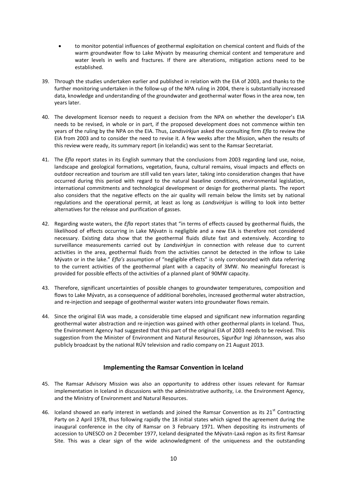- to monitor potential influences of geothermal exploitation on chemical content and fluids of the warm groundwater flow to Lake Mývatn by measuring chemical content and temperature and water levels in wells and fractures. If there are alterations, mitigation actions need to be established.
- 39. Through the studies undertaken earlier and published in relation with the EIA of 2003, and thanks to the further monitoring undertaken in the follow-up of the NPA ruling in 2004, there is substantially increased data, knowledge and understanding of the groundwater and geothermal water flows in the area now, ten years later.
- 40. The development licensor needs to request a decision from the NPA on whether the developer's EIA needs to be revised, in whole or in part, if the proposed development does not commence within ten years of the ruling by the NPA on the EIA. Thus, *Landsvirkjun* asked the consulting firm *Efla* to review the EIA from 2003 and to consider the need to revise it. A few weeks after the Mission, when the results of this review were ready, its summary report (in Icelandic) was sent to the Ramsar Secretariat.
- 41. The *Efla* report states in its English summary that the conclusions from 2003 regarding land use, noise, landscape and geological formations, vegetation, fauna, cultural remains, visual impacts and effects on outdoor recreation and tourism are still valid ten years later, taking into consideration changes that have occurred during this period with regard to the natural baseline conditions, environmental legislation, international commitments and technological development or design for geothermal plants. The report also considers that the negative effects on the air quality will remain below the limits set by national regulations and the operational permit, at least as long as *Landsvirkjun* is willing to look into better alternatives for the release and purification of gasses.
- 42. Regarding waste waters, the *Efla* report states that "in terms of effects caused by geothermal fluids, the likelihood of effects occurring in Lake Mývatn is negligible and a new EIA is therefore not considered necessary. Existing data show that the geothermal fluids dilute fast and extensively. According to surveillance measurements carried out by *Landsvirkjun* in connection with release due to current activities in the area, geothermal fluids from the activities cannot be detected in the inflow to Lake Mývatn or in the lake." *Efla's* assumption of "negligible effects" is only corroborated with data referring to the current activities of the geothermal plant with a capacity of 3MW. No meaningful forecast is provided for possible effects of the activities of a planned plant of 90MW capacity.
- 43. Therefore, significant uncertainties of possible changes to groundwater temperatures, composition and flows to Lake Mývatn, as a consequence of additional boreholes, increased geothermal water abstraction, and re-injection and seepage of geothermal waster waters into groundwater flows remain.
- 44. Since the original EIA was made, a considerable time elapsed and significant new information regarding geothermal water abstraction and re-injection was gained with other geothermal plants in Iceland. Thus, the Environment Agency had suggested that this part of the original EIA of 2003 needs to be revised. This suggestion from the Minister of Environment and Natural Resources, Sigurður Ingi Jóhannsson, was also publicly broadcast by the national RÚV television and radio company on 21 August 2013.

#### **Implementing the Ramsar Convention in Iceland**

- 45. The Ramsar Advisory Mission was also an opportunity to address other issues relevant for Ramsar implementation in Iceland in discussions with the administrative authority, i.e. the Environment Agency, and the Ministry of Environment and Natural Resources.
- 46. Iceland showed an early interest in wetlands and joined the Ramsar Convention as its  $21<sup>st</sup>$  Contracting Party on 2 April 1978, thus following rapidly the 18 initial states which signed the agreement during the inaugural conference in the city of Ramsar on 3 February 1971. When depositing its instruments of accession to UNESCO on 2 December 1977, Iceland designated the Mývatn-Laxá region as its first Ramsar Site. This was a clear sign of the wide acknowledgment of the uniqueness and the outstanding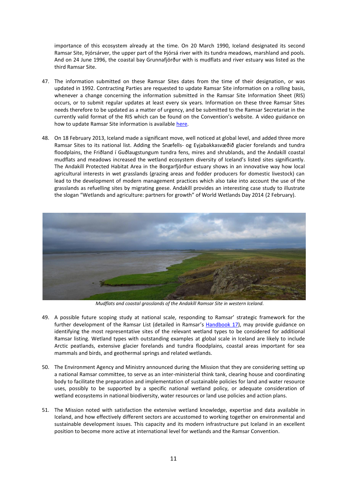importance of this ecosystem already at the time. On 20 March 1990, Iceland designated its second Ramsar Site, Þjórsárver, the upper part of the Þjórsá river with its tundra meadows, marshland and pools. And on 24 June 1996, the coastal bay Grunnafjörður with is mudflats and river estuary was listed as the third Ramsar Site.

- 47. The information submitted on these Ramsar Sites dates from the time of their designation, or was updated in 1992. Contracting Parties are requested to update Ramsar Site information on a rolling basis, whenever a change concerning the information submitted in the Ramsar Site Information Sheet (RIS) occurs, or to submit regular updates at least every six years. Information on these three Ramsar Sites needs therefore to be updated as a matter of urgency, and be submitted to the Ramsar Secretariat in the currently valid format of the RIS which can be found on the Convention's website. A video guidance on how to update Ramsar Site information is availabl[e here.](http://www.ramsar.org/cda/en/ramsar-documents-videoguide-ris-updates/main/ramsar/1-31%5E26101_4000_0__)
- 48. On 18 February 2013, Iceland made a significant move, well noticed at global level, and added three more Ramsar Sites to its national list. Adding the Snæfells- og Eyjabakkasvæðið glacier forelands and tundra floodplains, the Friðland í Guðlaugstungum tundra fens, mires and shrublands, and the Andakíll coastal mudflats and meadows increased the wetland ecosystem diversity of Iceland's listed sites significantly. The Andakíll Protected Habitat Area in the Borgarfjörður estuary shows in an innovative way how local agricultural interests in wet grasslands (grazing areas and fodder producers for domestic livestock) can lead to the development of modern management practices which also take into account the use of the grasslands as refuelling sites by migrating geese. Andakíll provides an interesting case study to illustrate the slogan "Wetlands and agriculture: partners for growth" of World Wetlands Day 2014 (2 February).



*Mudflats and coastal grasslands of the Andakíll Ramsar Site in western Iceland.*

- 49. A possible future scoping study at national scale, responding to Ramsar' strategic framework for the further development of the Ramsar List (detailed in Ramsar's [Handbook 17\)](http://www.ramsar.org/cda/en/ramsar-pubs-handbooks/main/ramsar/1-30-33_4000_0__), may provide guidance on identifying the most representative sites of the relevant wetland types to be considered for additional Ramsar listing. Wetland types with outstanding examples at global scale in Iceland are likely to include Arctic peatlands, extensive glacier forelands and tundra floodplains, coastal areas important for sea mammals and birds, and geothermal springs and related wetlands.
- 50. The Environment Agency and Ministry announced during the Mission that they are considering setting up a national Ramsar committee, to serve as an inter-ministerial think tank, clearing house and coordinating body to facilitate the preparation and implementation of sustainable policies for land and water resource uses, possibly to be supported by a specific national wetland policy, or adequate consideration of wetland ecosystems in national biodiversity, water resources or land use policies and action plans.
- 51. The Mission noted with satisfaction the extensive wetland knowledge, expertise and data available in Iceland, and how effectively different sectors are accustomed to working together on environmental and sustainable development issues. This capacity and its modern infrastructure put Iceland in an excellent position to become more active at international level for wetlands and the Ramsar Convention.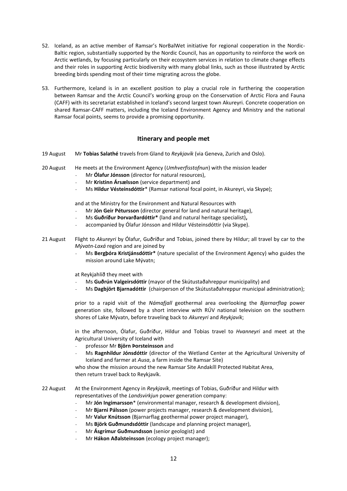- 52. Iceland, as an active member of Ramsar's NorBalWet initiative for regional cooperation in the Nordic-Baltic region, substantially supported by the Nordic Council, has an opportunity to reinforce the work on Arctic wetlands, by focusing particularly on their ecosystem services in relation to climate change effects and their roles in supporting Arctic biodiversity with many global links, such as those illustrated by Arctic breeding birds spending most of their time migrating across the globe.
- 53. Furthermore, Iceland is in an excellent position to play a crucial role in furthering the cooperation between Ramsar and the Arctic Council's working group on the Conservation of Arctic Flora and Fauna (CAFF) with its secretariat established in Iceland's second largest town Akureyri. Concrete cooperation on shared Ramsar-CAFF matters, including the Iceland Environment Agency and Ministry and the national Ramsar focal points, seems to provide a promising opportunity.

#### **Itinerary and people met**

- 19 August Mr **Tobias Salathé** travels from Gland to *Reykjavík* (via Geneva, Zurich and Oslo).
- 20 August He meets at the Environment Agency (*Umhverfisstofnun*) with the mission leader
	- Mr **Ólafur Jónsson** (director for natural resources),
	- Mr **Kristinn Ársælsson** (service department) and
	- Ms **Hildur Vésteinsdóttir**\* (Ramsar national focal point, in Akureyri, via Skype);

and at the Ministry for the Environment and Natural Resources with

- Mr **Jón Geir Pétursson** (director general for land and natural heritage),
- Ms **Guðríður Þorvarðardóttir\*** (land and natural heritage specialist)**,**
- accompanied by Ólafur Jónsson and Hildur Vésteinsdóttir (via Skype).
- 21 August Flight to *Akureyri* by Ólafur, Guðríður and Tobias, joined there by Hildur; all travel by car to the *Mývatn-Laxá* region and are joined by
	- Ms **Bergþóra Kristjánsdóttir\*** (nature specialist of the Environment Agency) who guides the mission around Lake Mývatn;

at Reykjahlíð they meet with

- Ms **Guðrún Valgeirsdóttir** (mayor of the Skútustaðahreppur municipality) and
- Ms **Dagbjört Bjarnadóttir** (chairperson of the Skútustaðahreppur municipal administration);

prior to a rapid visit of the *Námafjall* geothermal area overlooking the *Bjarnarflag* power generation site, followed by a short interview with RÚV national television on the southern shores of Lake Mývatn, before traveling back to *Akureyri* and *Reykjavík*;

in the afternoon, Ólafur, Guðríður, Hildur and Tobias travel to *Hvanneyri* and meet at the Agricultural University of Iceland with

- professor Mr **Björn Þorsteinsson** and
- Ms **Ragnhildur Jónsdóttir** (director of the Wetland Center at the Agricultural University of Iceland and farmer at *Ausa*, a farm inside the Ramsar Site)

who show the mission around the new Ramsar Site Andakíll Protected Habitat Area, then return travel back to Reykjavík.

22 August At the Environment Agency in *Reykjavík*, meetings of Tobias, Guðríður and Hildur with representatives of the *Landsvirkjun* power generation company:

- Mr **Jón Ingimarsson**\* (environmental manager, research & development division),
- Mr **Bjarni Pálsson** (power projects manager, research & development division),
- Mr **Valur Knútsson** (Bjarnarflag geothermal power project manager),
- Ms **Björk Guðmundsdóttir** (landscape and planning project manager),
- Mr **Ásgrímur Guðmundsson** (senior geologist) and
- Mr **Hákon Aðalsteinsson** (ecology project manager);